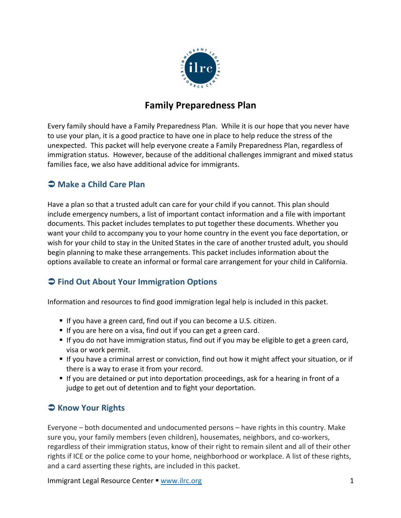

# **Family Preparedness Plan**

Every family should have a Family Preparedness Plan. While it is our hope that you never have to use your plan, it is a good practice to have one in place to help reduce the stress of the unexpected. This packet will help everyone create a Family Preparedness Plan, regardless of immigration status. However, because of the additional challenges immigrant and mixed status families face, we also have additional advice for immigrants.

## $\bigcirc$  Make a Child Care Plan

Have a plan so that a trusted adult can care for your child if you cannot. This plan should include emergency numbers, a list of important contact information and a file with important documents. This packet includes templates to put together these documents. Whether you want your child to accompany you to your home country in the event you face deportation, or wish for your child to stay in the United States in the care of another trusted adult, you should begin planning to make these arrangements. This packet includes information about the options available to create an informal or formal care arrangement for your child in California.

## $\bigcirc$  Find Out About Your Immigration Options

Information and resources to find good immigration legal help is included in this packet.

- If you have a green card, find out if you can become a U.S. citizen.
- If you are here on a visa, find out if you can get a green card.
- If you do not have immigration status, find out if you may be eligible to get a green card, visa or work permit.
- If you have a criminal arrest or conviction, find out how it might affect your situation, or if there is a way to erase it from your record.
- If you are detained or put into deportation proceedings, ask for a hearing in front of a judge to get out of detention and to fight your deportation.

# $\bullet$  Know Your Rights

Everyone – both documented and undocumented persons – have rights in this country. Make sure you, your family members (even children), housemates, neighbors, and co-workers, regardless of their immigration status, know of their right to remain silent and all of their other rights if ICE or the police come to your home, neighborhood or workplace. A list of these rights, and a card asserting these rights, are included in this packet.

Immigrant Legal Resource Center • www.ilrc.org 1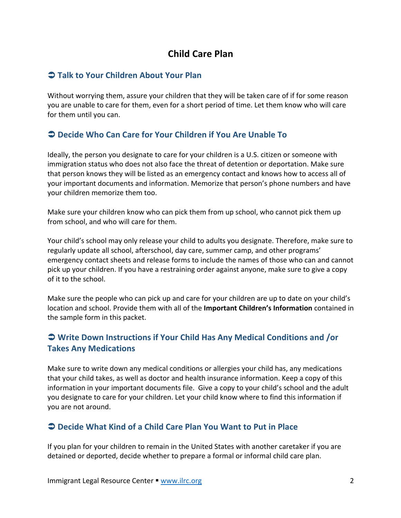# **Child Care Plan**

### Ü **Talk to Your Children About Your Plan**

Without worrying them, assure your children that they will be taken care of if for some reason you are unable to care for them, even for a short period of time. Let them know who will care for them until you can.

## Ü **Decide Who Can Care for Your Children if You Are Unable To**

Ideally, the person you designate to care for your children is a U.S. citizen or someone with immigration status who does not also face the threat of detention or deportation. Make sure that person knows they will be listed as an emergency contact and knows how to access all of your important documents and information. Memorize that person's phone numbers and have your children memorize them too.

Make sure your children know who can pick them from up school, who cannot pick them up from school, and who will care for them.

Your child's school may only release your child to adults you designate. Therefore, make sure to regularly update all school, afterschool, day care, summer camp, and other programs' emergency contact sheets and release forms to include the names of those who can and cannot pick up your children. If you have a restraining order against anyone, make sure to give a copy of it to the school.

Make sure the people who can pick up and care for your children are up to date on your child's location and school. Provide them with all of the **Important Children's Information** contained in the sample form in this packet.

## $\supset$  **Write Down Instructions if Your Child Has Any Medical Conditions and /or Takes Any Medications**

Make sure to write down any medical conditions or allergies your child has, any medications that your child takes, as well as doctor and health insurance information. Keep a copy of this information in your important documents file. Give a copy to your child's school and the adult you designate to care for your children. Let your child know where to find this information if you are not around.

### $\supset$  **Decide What Kind of a Child Care Plan You Want to Put in Place**

If you plan for your children to remain in the United States with another caretaker if you are detained or deported, decide whether to prepare a formal or informal child care plan.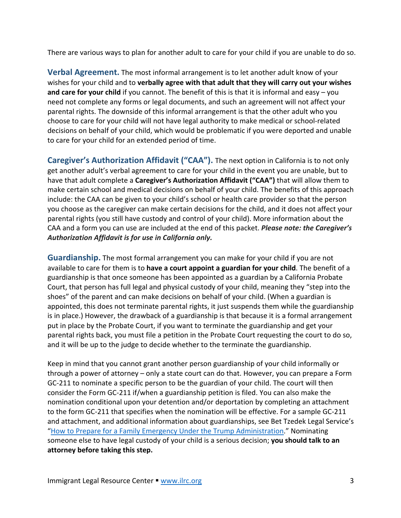There are various ways to plan for another adult to care for your child if you are unable to do so.

**Verbal Agreement.** The most informal arrangement is to let another adult know of your wishes for your child and to **verbally agree with that adult that they will carry out your wishes and care for your child** if you cannot. The benefit of this is that it is informal and easy – you need not complete any forms or legal documents, and such an agreement will not affect your parental rights. The downside of this informal arrangement is that the other adult who you choose to care for your child will not have legal authority to make medical or school-related decisions on behalf of your child, which would be problematic if you were deported and unable to care for your child for an extended period of time.

**Caregiver's Authorization Affidavit ("CAA").** The next option in California is to not only get another adult's verbal agreement to care for your child in the event you are unable, but to have that adult complete a **Caregiver's Authorization Affidavit ("CAA")** that will allow them to make certain school and medical decisions on behalf of your child. The benefits of this approach include: the CAA can be given to your child's school or health care provider so that the person you choose as the caregiver can make certain decisions for the child, and it does not affect your parental rights (you still have custody and control of your child). More information about the CAA and a form you can use are included at the end of this packet. *Please note: the Caregiver's* Authorization Affidavit is for use in California only.

**Guardianship.** The most formal arrangement you can make for your child if you are not available to care for them is to **have a court appoint a guardian for your child**. The benefit of a guardianship is that once someone has been appointed as a guardian by a California Probate Court, that person has full legal and physical custody of your child, meaning they "step into the shoes" of the parent and can make decisions on behalf of your child. (When a guardian is appointed, this does not terminate parental rights, it just suspends them while the guardianship is in place.) However, the drawback of a guardianship is that because it is a formal arrangement put in place by the Probate Court, if you want to terminate the guardianship and get your parental rights back, you must file a petition in the Probate Court requesting the court to do so, and it will be up to the judge to decide whether to the terminate the guardianship.

Keep in mind that you cannot grant another person guardianship of your child informally or through a power of attorney – only a state court can do that. However, you can prepare a Form GC-211 to nominate a specific person to be the guardian of your child. The court will then consider the Form GC-211 if/when a guardianship petition is filed. You can also make the nomination conditional upon your detention and/or deportation by completing an attachment to the form GC-211 that specifies when the nomination will be effective. For a sample GC-211 and attachment, and additional information about guardianships, see Bet Tzedek Legal Service's "How to Prepare for a Family Emergency Under the Trump Administration." Nominating someone else to have legal custody of your child is a serious decision; you should talk to an **attorney before taking this step.**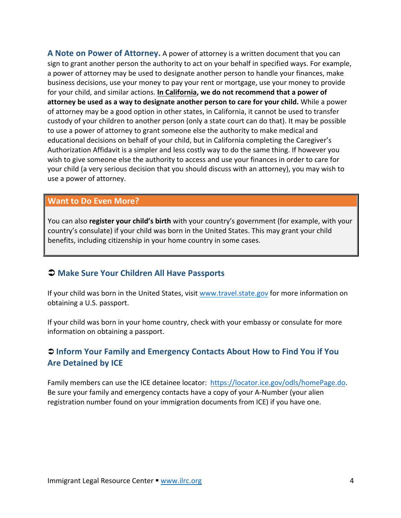**A** Note on Power of Attorney. A power of attorney is a written document that you can sign to grant another person the authority to act on your behalf in specified ways. For example, a power of attorney may be used to designate another person to handle your finances, make business decisions, use your money to pay your rent or mortgage, use your money to provide for your child, and similar actions. In California, we do not recommend that a power of **attorney be used as a way to designate another person to care for your child.** While a power of attorney may be a good option in other states, in California, it cannot be used to transfer custody of your children to another person (only a state court can do that). It may be possible to use a power of attorney to grant someone else the authority to make medical and educational decisions on behalf of your child, but in California completing the Caregiver's Authorization Affidavit is a simpler and less costly way to do the same thing. If however you wish to give someone else the authority to access and use your finances in order to care for your child (a very serious decision that you should discuss with an attorney), you may wish to use a power of attorney.

#### **Want to Do Even More?**

You can also **register your child's birth** with your country's government (for example, with your country's consulate) if your child was born in the United States. This may grant your child benefits, including citizenship in your home country in some cases.

### $\supset$  Make Sure Your Children All Have Passports

If your child was born in the United States, visit www.travel.state.gov for more information on obtaining a U.S. passport.

If your child was born in your home country, check with your embassy or consulate for more information on obtaining a passport.

### **⊃ Inform Your Family and Emergency Contacts About How to Find You if You Are Detained by ICE**

Family members can use the ICE detainee locator: https://locator.ice.gov/odls/homePage.do. Be sure your family and emergency contacts have a copy of your A-Number (your alien registration number found on your immigration documents from ICE) if you have one.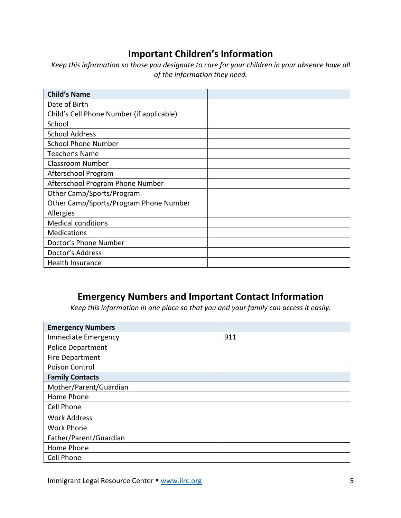# **Important Children's Information**

*Keep* this information so those you designate to care for your children in your absence have all *of the information they need.* 

| <b>Child's Name</b>                       |  |
|-------------------------------------------|--|
| Date of Birth                             |  |
| Child's Cell Phone Number (if applicable) |  |
| School                                    |  |
| <b>School Address</b>                     |  |
| <b>School Phone Number</b>                |  |
| Teacher's Name                            |  |
| <b>Classroom Number</b>                   |  |
| Afterschool Program                       |  |
| Afterschool Program Phone Number          |  |
| Other Camp/Sports/Program                 |  |
| Other Camp/Sports/Program Phone Number    |  |
| Allergies                                 |  |
| <b>Medical conditions</b>                 |  |
| <b>Medications</b>                        |  |
| Doctor's Phone Number                     |  |
| Doctor's Address                          |  |
| <b>Health Insurance</b>                   |  |

# **Emergency Numbers and Important Contact Information**

*Keep* this information in one place so that you and your family can access it easily.

| <b>Emergency Numbers</b>   |     |
|----------------------------|-----|
| <b>Immediate Emergency</b> | 911 |
| <b>Police Department</b>   |     |
| <b>Fire Department</b>     |     |
| Poison Control             |     |
| <b>Family Contacts</b>     |     |
| Mother/Parent/Guardian     |     |
| Home Phone                 |     |
| <b>Cell Phone</b>          |     |
| <b>Work Address</b>        |     |
| <b>Work Phone</b>          |     |
| Father/Parent/Guardian     |     |
| Home Phone                 |     |
| <b>Cell Phone</b>          |     |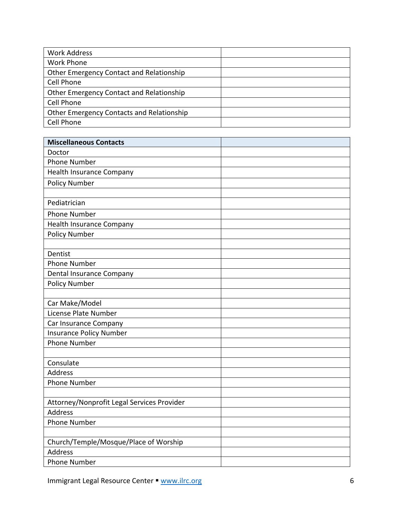| <b>Work Address</b>                              |  |
|--------------------------------------------------|--|
| <b>Work Phone</b>                                |  |
| Other Emergency Contact and Relationship         |  |
| <b>Cell Phone</b>                                |  |
| Other Emergency Contact and Relationship         |  |
| Cell Phone                                       |  |
| <b>Other Emergency Contacts and Relationship</b> |  |
| <b>Cell Phone</b>                                |  |

| <b>Miscellaneous Contacts</b>                           |  |
|---------------------------------------------------------|--|
| Doctor                                                  |  |
| <b>Phone Number</b>                                     |  |
| <b>Health Insurance Company</b>                         |  |
| <b>Policy Number</b>                                    |  |
|                                                         |  |
| Pediatrician                                            |  |
| <b>Phone Number</b>                                     |  |
| Health Insurance Company                                |  |
| <b>Policy Number</b>                                    |  |
|                                                         |  |
| Dentist                                                 |  |
| <b>Phone Number</b>                                     |  |
| <b>Dental Insurance Company</b>                         |  |
| <b>Policy Number</b>                                    |  |
|                                                         |  |
| Car Make/Model                                          |  |
| License Plate Number                                    |  |
| Car Insurance Company                                   |  |
| <b>Insurance Policy Number</b>                          |  |
| <b>Phone Number</b>                                     |  |
|                                                         |  |
| Consulate                                               |  |
| <b>Address</b>                                          |  |
| <b>Phone Number</b>                                     |  |
|                                                         |  |
| Attorney/Nonprofit Legal Services Provider              |  |
| <b>Address</b>                                          |  |
| <b>Phone Number</b>                                     |  |
|                                                         |  |
| Church/Temple/Mosque/Place of Worship<br><b>Address</b> |  |
|                                                         |  |
| <b>Phone Number</b>                                     |  |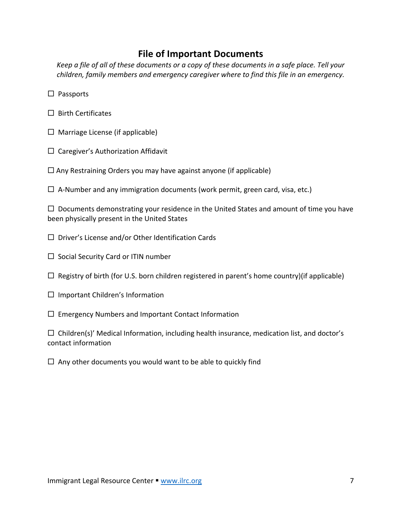## **File of Important Documents**

*Keep* a file of all of these documents or a copy of these documents in a safe place. Tell your *children, family members and emergency caregiver where to find this file in an emergency.* 

- $\square$  Passports
- $\square$  Birth Certificates
- $\Box$  Marriage License (if applicable)
- $\square$  Caregiver's Authorization Affidavit
- $\Box$  Any Restraining Orders you may have against anyone (if applicable)
- $\Box$  A-Number and any immigration documents (work permit, green card, visa, etc.)

 $\Box$  Documents demonstrating your residence in the United States and amount of time you have been physically present in the United States

- $\square$  Driver's License and/or Other Identification Cards
- $\square$  Social Security Card or ITIN number
- $\Box$  Registry of birth (for U.S. born children registered in parent's home country)(if applicable)
- $\square$  Important Children's Information
- $\square$  Emergency Numbers and Important Contact Information

 $\Box$  Children(s)' Medical Information, including health insurance, medication list, and doctor's contact information 

 $\Box$  Any other documents you would want to be able to quickly find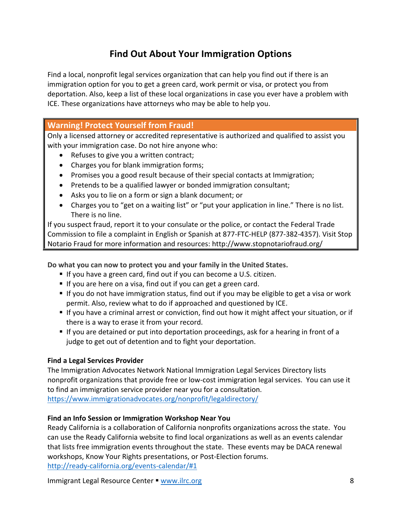# **Find Out About Your Immigration Options**

Find a local, nonprofit legal services organization that can help you find out if there is an immigration option for you to get a green card, work permit or visa, or protect you from deportation. Also, keep a list of these local organizations in case you ever have a problem with ICE. These organizations have attorneys who may be able to help you.

### **Warning! Protect Yourself from Fraud!**

Only a licensed attorney or accredited representative is authorized and qualified to assist you with your immigration case. Do not hire anyone who:

- Refuses to give you a written contract;
- Charges you for blank immigration forms;
- Promises you a good result because of their special contacts at Immigration;
- Pretends to be a qualified lawyer or bonded immigration consultant;
- Asks you to lie on a form or sign a blank document; or
- Charges you to "get on a waiting list" or "put your application in line." There is no list. There is no line.

If you suspect fraud, report it to your consulate or the police, or contact the Federal Trade Commission to file a complaint in English or Spanish at 877-FTC-HELP (877-382-4357). Visit Stop Notario Fraud for more information and resources: http://www.stopnotariofraud.org/

Do what you can now to protect you and your family in the United States.

- If you have a green card, find out if you can become a U.S. citizen.
- If you are here on a visa, find out if you can get a green card.
- If you do not have immigration status, find out if you may be eligible to get a visa or work permit. Also, review what to do if approached and questioned by ICE.
- If you have a criminal arrest or conviction, find out how it might affect your situation, or if there is a way to erase it from your record.
- If you are detained or put into deportation proceedings, ask for a hearing in front of a judge to get out of detention and to fight your deportation.

#### **Find a Legal Services Provider**

The Immigration Advocates Network National Immigration Legal Services Directory lists nonprofit organizations that provide free or low-cost immigration legal services. You can use it to find an immigration service provider near you for a consultation. https://www.immigrationadvocates.org/nonprofit/legaldirectory/

#### Find an Info Session or Immigration Workshop Near You

Ready California is a collaboration of California nonprofits organizations across the state. You can use the Ready California website to find local organizations as well as an events calendar that lists free immigration events throughout the state. These events may be DACA renewal workshops, Know Your Rights presentations, or Post-Election forums. http://ready-california.org/events-calendar/#1

Immigrant Legal Resource Center § www.ilrc.org 8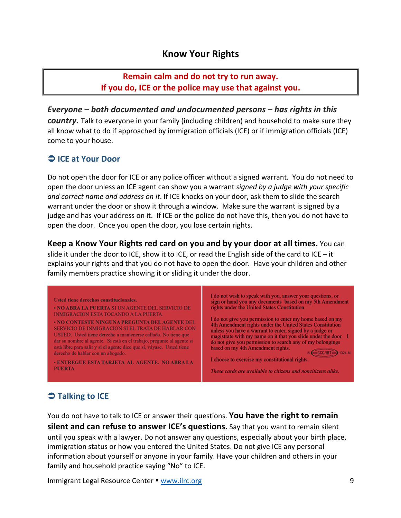## **Know Your Rights**

## **Remain calm and do not try to run away. If you do, ICE or the police may use that against you.**

*Everyone* – both documented and undocumented persons – has rights in this *country*. Talk to everyone in your family (including children) and household to make sure they all know what to do if approached by immigration officials (ICE) or if immigration officials (ICE) come to your house.

### $\bigcirc$  **ICE** at Your Door

Do not open the door for ICE or any police officer without a signed warrant. You do not need to open the door unless an ICE agent can show you a warrant *signed by a judge with your specific and correct name and address on it.* If ICE knocks on your door, ask them to slide the search warrant under the door or show it through a window. Make sure the warrant is signed by a judge and has your address on it. If ICE or the police do not have this, then you do not have to open the door. Once you open the door, you lose certain rights.

**Keep a Know Your Rights red card on you and by your door at all times.** You can slide it under the door to ICE, show it to ICE, or read the English side of the card to ICE – it explains your rights and that you do not have to open the door. Have your children and other family members practice showing it or sliding it under the door.



# $\bigcirc$  Talking to ICE

You do not have to talk to ICE or answer their questions. You have the right to remain **silent and can refuse to answer ICE's questions.** Say that you want to remain silent until you speak with a lawyer. Do not answer any questions, especially about your birth place, immigration status or how you entered the United States. Do not give ICE any personal information about yourself or anyone in your family. Have your children and others in your family and household practice saying "No" to ICE.

Immigrant Legal Resource Center  $\blacksquare$  www.ilrc.org 9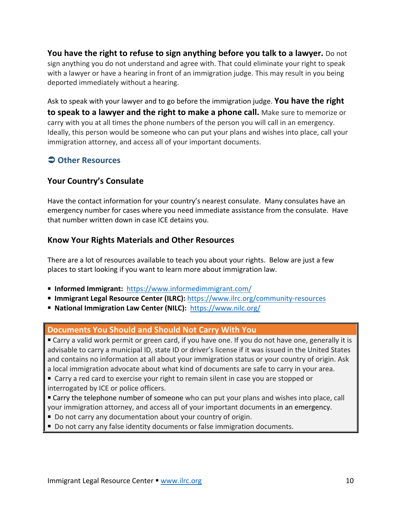**You have the right to refuse to sign anything before you talk to a lawyer.** Do not sign anything you do not understand and agree with. That could eliminate your right to speak with a lawyer or have a hearing in front of an immigration judge. This may result in you being deported immediately without a hearing.

Ask to speak with your lawyer and to go before the immigration judge. You have the right **to speak to a lawyer and the right to make a phone call.** Make sure to memorize or carry with you at all times the phone numbers of the person you will call in an emergency. Ideally, this person would be someone who can put your plans and wishes into place, call your immigration attorney, and access all of your important documents.

## $\supset$  Other Resources

### **Your Country's Consulate**

Have the contact information for your country's nearest consulate. Many consulates have an emergency number for cases where you need immediate assistance from the consulate. Have that number written down in case ICE detains you.

### **Know Your Rights Materials and Other Resources**

There are a lot of resources available to teach you about your rights. Below are just a few places to start looking if you want to learn more about immigration law.

- Informed Immigrant: https://www.informedimmigrant.com/
- Immigrant Legal Resource Center (ILRC): https://www.ilrc.org/community-resources
- National Immigration Law Center (NILC): https://www.nilc.org/

### **Documents You Should and Should Not Carry With You**

■ Carry a valid work permit or green card, if you have one. If you do not have one, generally it is advisable to carry a municipal ID, state ID or driver's license if it was issued in the United States and contains no information at all about your immigration status or your country of origin. Ask a local immigration advocate about what kind of documents are safe to carry in your area.

■ Carry a red card to exercise your right to remain silent in case you are stopped or interrogated by ICE or police officers.

■ Carry the telephone number of someone who can put your plans and wishes into place, call your immigration attorney, and access all of your important documents in an emergency.

- Do not carry any documentation about your country of origin.
- Do not carry any false identity documents or false immigration documents.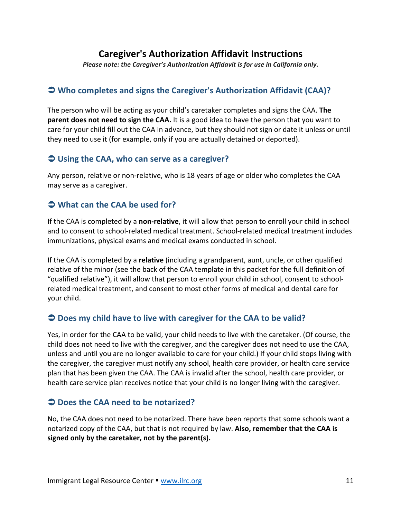## **Caregiver's Authorization Affidavit Instructions**

Please note: the Caregiver's Authorization Affidavit is for use in California only.

## $\triangle$  **Who completes and signs the Caregiver's Authorization Affidavit (CAA)?**

The person who will be acting as your child's caretaker completes and signs the CAA. **The parent does not need to sign the CAA.** It is a good idea to have the person that you want to care for your child fill out the CAA in advance, but they should not sign or date it unless or until they need to use it (for example, only if you are actually detained or deported).

### $\bigcirc$  Using the CAA, who can serve as a caregiver?

Any person, relative or non-relative, who is 18 years of age or older who completes the CAA may serve as a caregiver.

### $\Rightarrow$  What can the CAA be used for?

If the CAA is completed by a **non-relative**, it will allow that person to enroll your child in school and to consent to school-related medical treatment. School-related medical treatment includes immunizations, physical exams and medical exams conducted in school.

If the CAA is completed by a **relative** (including a grandparent, aunt, uncle, or other qualified relative of the minor (see the back of the CAA template in this packet for the full definition of "qualified relative"), it will allow that person to enroll your child in school, consent to schoolrelated medical treatment, and consent to most other forms of medical and dental care for your child.

### **→ Does my child have to live with caregiver for the CAA to be valid?**

Yes, in order for the CAA to be valid, your child needs to live with the caretaker. (Of course, the child does not need to live with the caregiver, and the caregiver does not need to use the CAA, unless and until you are no longer available to care for your child.) If your child stops living with the caregiver, the caregiver must notify any school, health care provider, or health care service plan that has been given the CAA. The CAA is invalid after the school, health care provider, or health care service plan receives notice that your child is no longer living with the caregiver.

### $\bigcirc$  Does the CAA need to be notarized?

No, the CAA does not need to be notarized. There have been reports that some schools want a notarized copy of the CAA, but that is not required by law. **Also, remember that the CAA** is signed only by the caretaker, not by the parent(s).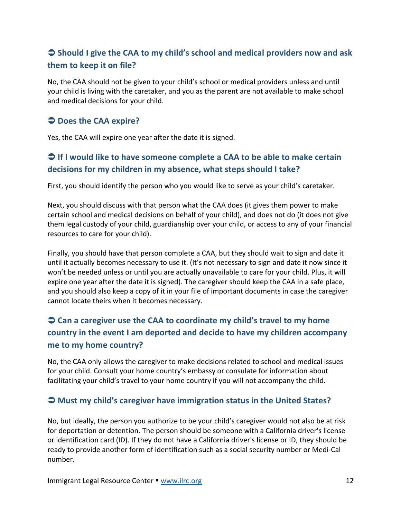# $\Rightarrow$  **Should I give the CAA to my child's school and medical providers now and ask them to keep it on file?**

No, the CAA should not be given to your child's school or medical providers unless and until your child is living with the caretaker, and you as the parent are not available to make school and medical decisions for your child.

### $\bigcirc$  Does the CAA expire?

Yes, the CAA will expire one year after the date it is signed.

## **● If I** would like to have someone complete a CAA to be able to make certain decisions for my children in my absence, what steps should I take?

First, you should identify the person who you would like to serve as your child's caretaker.

Next, you should discuss with that person what the CAA does (it gives them power to make certain school and medical decisions on behalf of your child), and does not do (it does not give them legal custody of your child, guardianship over your child, or access to any of your financial resources to care for your child).

Finally, you should have that person complete a CAA, but they should wait to sign and date it until it actually becomes necessary to use it. (It's not necessary to sign and date it now since it won't be needed unless or until you are actually unavailable to care for your child. Plus, it will expire one year after the date it is signed). The caregiver should keep the CAA in a safe place, and you should also keep a copy of it in your file of important documents in case the caregiver cannot locate theirs when it becomes necessary.

# $\Rightarrow$  **Can a caregiver use the CAA to coordinate my child's travel to my home country in the event I am deported and decide to have my children accompany** me to my home country?

No, the CAA only allows the caregiver to make decisions related to school and medical issues for your child. Consult your home country's embassy or consulate for information about facilitating your child's travel to your home country if you will not accompany the child.

### $\bigcirc$  **Must my child's caregiver have immigration status in the United States?**

No, but ideally, the person you authorize to be your child's caregiver would not also be at risk for deportation or detention. The person should be someone with a California driver's license or identification card (ID). If they do not have a California driver's license or ID, they should be ready to provide another form of identification such as a social security number or Medi-Cal number.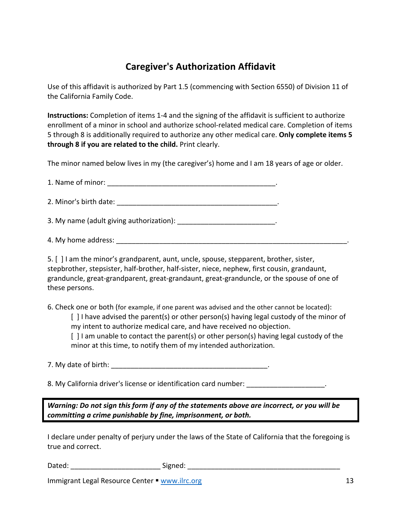# **Caregiver's Authorization Affidavit**

Use of this affidavit is authorized by Part 1.5 (commencing with Section 6550) of Division 11 of the California Family Code.

**Instructions:** Completion of items 1-4 and the signing of the affidavit is sufficient to authorize enrollment of a minor in school and authorize school-related medical care. Completion of items 5 through 8 is additionally required to authorize any other medical care. Only complete items 5 **through 8 if you are related to the child.** Print clearly.

The minor named below lives in my (the caregiver's) home and I am 18 years of age or older.

1. Name of minor:  $\blacksquare$ 2. Minor's birth date:  $\blacksquare$ 3. My name (adult giving authorization):  $\blacksquare$ 4. My home address: \_\_\_\_\_\_\_\_\_\_\_\_\_\_\_\_\_\_\_\_\_\_\_\_\_\_\_\_\_\_\_\_\_\_\_\_\_\_\_\_\_\_\_\_\_\_\_\_\_\_\_\_\_\_\_\_\_\_\_. 

5. [ ] I am the minor's grandparent, aunt, uncle, spouse, stepparent, brother, sister, stepbrother, stepsister, half-brother, half-sister, niece, nephew, first cousin, grandaunt, granduncle, great-grandparent, great-grandaunt, great-granduncle, or the spouse of one of these persons.

6. Check one or both (for example, if one parent was advised and the other cannot be located):  $\lceil$  1 have advised the parent(s) or other person(s) having legal custody of the minor of my intent to authorize medical care, and have received no objection.  $\int$  l am unable to contact the parent(s) or other person(s) having legal custody of the minor at this time, to notify them of my intended authorization.

7. My date of birth:  $\blacksquare$ 

8. My California driver's license or identification card number: \_\_\_\_\_\_\_\_\_\_\_\_\_\_\_\_

*Warning: Do not sign this form if any of the statements above are incorrect, or you will be committing a crime punishable by fine, imprisonment, or both.* 

I declare under penalty of perjury under the laws of the State of California that the foregoing is true and correct.

Dated: \_\_\_\_\_\_\_\_\_\_\_\_\_\_\_\_\_\_\_\_\_\_\_ Signed: \_\_\_\_\_\_\_\_\_\_\_\_\_\_\_\_\_\_\_\_\_\_\_\_\_\_\_\_\_\_\_\_\_\_\_\_\_\_\_

Immigrant Legal Resource Center  $\blacksquare$  www.ilrc.org 13